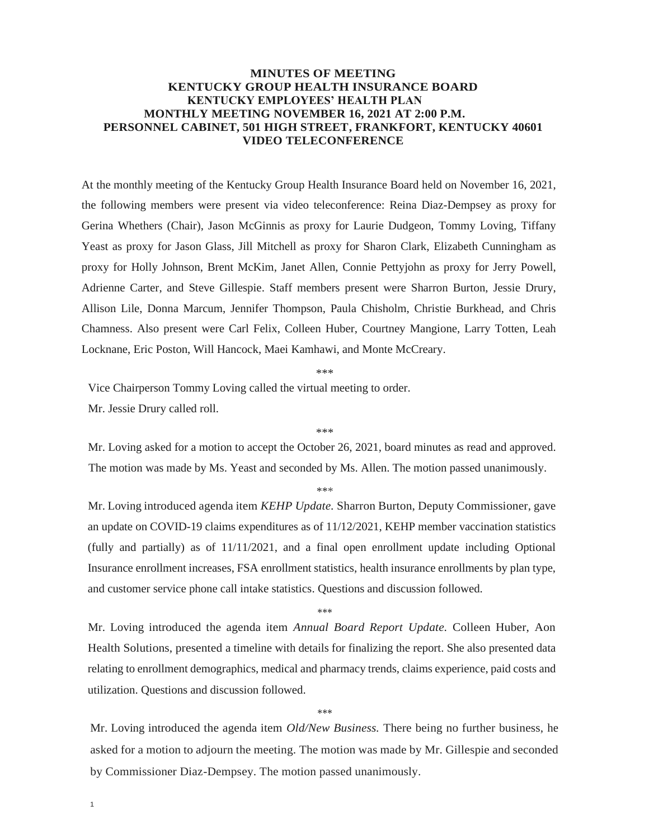## **MINUTES OF MEETING KENTUCKY GROUP HEALTH INSURANCE BOARD KENTUCKY EMPLOYEES' HEALTH PLAN MONTHLY MEETING NOVEMBER 16, 2021 AT 2:00 P.M. PERSONNEL CABINET, 501 HIGH STREET, FRANKFORT, KENTUCKY 40601 VIDEO TELECONFERENCE**

At the monthly meeting of the Kentucky Group Health Insurance Board held on November 16, 2021, the following members were present via video teleconference: Reina Diaz-Dempsey as proxy for Gerina Whethers (Chair), Jason McGinnis as proxy for Laurie Dudgeon, Tommy Loving, Tiffany Yeast as proxy for Jason Glass, Jill Mitchell as proxy for Sharon Clark, Elizabeth Cunningham as proxy for Holly Johnson, Brent McKim, Janet Allen, Connie Pettyjohn as proxy for Jerry Powell, Adrienne Carter, and Steve Gillespie. Staff members present were Sharron Burton, Jessie Drury, Allison Lile, Donna Marcum, Jennifer Thompson, Paula Chisholm, Christie Burkhead, and Chris Chamness. Also present were Carl Felix, Colleen Huber, Courtney Mangione, Larry Totten, Leah Locknane, Eric Poston, Will Hancock, Maei Kamhawi, and Monte McCreary.

\*\*\*

Vice Chairperson Tommy Loving called the virtual meeting to order.

Mr. Jessie Drury called roll.

\*\*\*

Mr. Loving asked for a motion to accept the October 26, 2021, board minutes as read and approved. The motion was made by Ms. Yeast and seconded by Ms. Allen. The motion passed unanimously.

\*\*\*

Mr. Loving introduced agenda item *KEHP Update.* Sharron Burton, Deputy Commissioner, gave an update on COVID-19 claims expenditures as of 11/12/2021, KEHP member vaccination statistics (fully and partially) as of 11/11/2021, and a final open enrollment update including Optional Insurance enrollment increases, FSA enrollment statistics, health insurance enrollments by plan type, and customer service phone call intake statistics. Questions and discussion followed.

\*\*\*

Mr. Loving introduced the agenda item *Annual Board Report Update.* Colleen Huber, Aon Health Solutions, presented a timeline with details for finalizing the report. She also presented data relating to enrollment demographics, medical and pharmacy trends, claims experience, paid costs and utilization. Questions and discussion followed.

\*\*\*

Mr. Loving introduced the agenda item *Old/New Business.* There being no further business, he asked for a motion to adjourn the meeting. The motion was made by Mr. Gillespie and seconded by Commissioner Diaz-Dempsey. The motion passed unanimously.